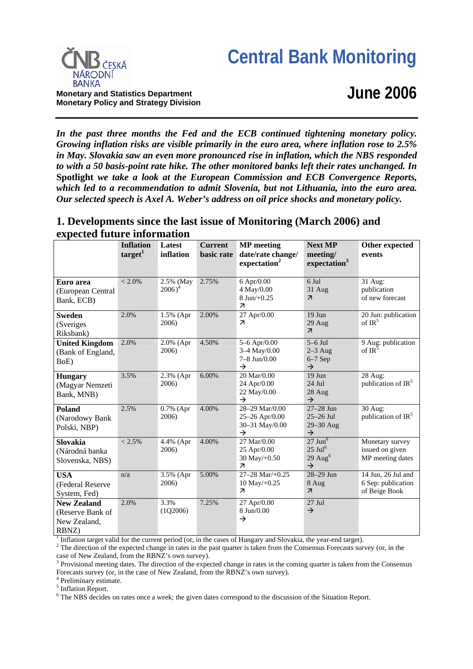# **Central Bank Monitoring**



**Monetary Policy and Strategy Division**

**June 2006**

*In the past three months the Fed and the ECB continued tightening monetary policy. Growing inflation risks are visible primarily in the euro area, where inflation rose to 2.5% in May. Slovakia saw an even more pronounced rise in inflation, which the NBS responded to with a 50 basis-point rate hike. The other monitored banks left their rates unchanged. In*  **Spotlight** *we take a look at the European Commission and ECB Convergence Reports, which led to a recommendation to admit Slovenia, but not Lithuania, into the euro area. Our selected speech is Axel A. Weber's address on oil price shocks and monetary policy.*

# **1. Developments since the last issue of Monitoring (March 2006) and expected future information**

|                                                                 | <b>Inflation</b><br>target <sup>1</sup> | Latest<br>inflation    | <b>Current</b><br>basic rate | <b>MP</b> meeting<br>date/rate change/<br>expectation <sup>2</sup>            | <b>Next MP</b><br>meeting/<br>expectation <sup>3</sup>                       | Other expected<br>events                                  |
|-----------------------------------------------------------------|-----------------------------------------|------------------------|------------------------------|-------------------------------------------------------------------------------|------------------------------------------------------------------------------|-----------------------------------------------------------|
| Euro area<br>(European Central<br>Bank, ECB)                    | $< 2.0\%$                               | 2.5% (May<br>$2006)^4$ | 2.75%                        | $6$ Apr/ $0.00$<br>4 May/0.00<br>$8$ Jun $/+0.25$<br>$\overline{\phantom{a}}$ | 6 Jul<br>$31$ Aug<br>$\overline{\mathcal{A}}$                                | 31 Aug:<br>publication<br>of new forecast                 |
| <b>Sweden</b><br>(Sveriges<br>Riksbank)                         | 2.0%                                    | 1.5% (Apr<br>2006)     | 2.00%                        | 27 Apr/0.00<br>$\overline{\mathcal{L}}$                                       | $19$ Jun<br>29 Aug<br>$\overline{\mathcal{A}}$                               | 20 Jun: publication<br>of $IR^5$                          |
| <b>United Kingdom</b><br>(Bank of England,<br>BoE)              | 2.0%                                    | 2.0% (Apr<br>2006)     | 4.50%                        | $5 - 6$ Apr/0.00<br>3-4 May/0.00<br>$7 - 8$ Jun/0.00<br>$\rightarrow$         | $5-6$ Jul<br>$2-3$ Aug<br>$6-7$ Sep<br>$\rightarrow$                         | 9 Aug: publication<br>of $IR3$                            |
| <b>Hungary</b><br>(Magyar Nemzeti<br>Bank, MNB)                 | 3.5%                                    | 2.3% (Apr<br>2006)     | 6.00%                        | 20 Mar/0.00<br>24 Apr/0.00<br>22 May/0.00<br>$\rightarrow$                    | $19$ Jun<br>24 Jul<br>28 Aug<br>$\rightarrow$                                | 28 Aug:<br>publication of IR <sup>5</sup>                 |
| <b>Poland</b><br>(Narodowy Bank<br>Polski, NBP)                 | 2.5%                                    | 0.7% (Apr<br>2006)     | 4.00%                        | 28-29 Mar/0.00<br>25-26 Apr/0.00<br>30-31 May/0.00<br>$\rightarrow$           | $27-28$ Jun<br>$25-26$ Jul<br>29-30 Aug<br>$\rightarrow$                     | 30 Aug:<br>publication of $IR5$                           |
| <b>Slovakia</b><br>(Národná banka<br>Slovenska, NBS)            | $< 2.5\%$                               | 4.4% (Apr<br>2006)     | 4.00%                        | 27 Mar/0.00<br>25 Apr/0.00<br>30 May/+0.50<br>$\overline{\mathbf{z}}$         | $27$ Jun $6$<br>$25$ Jul <sup>6</sup><br>$29 \text{ Aug}^6$<br>$\rightarrow$ | Monetary survey<br>issued on given<br>MP meeting dates    |
| <b>USA</b><br>(Federal Reserve<br>System, Fed)                  | n/a                                     | 3.5% (Apr<br>2006)     | 5.00%                        | $27 - 28$ Mar/+0.25<br>$10$ May/+0.25<br>$\overline{\phantom{a}}$             | 28-29 Jun<br>8 Aug<br>$\overline{\mathcal{A}}$                               | 14 Jun, 26 Jul and<br>6 Sep: publication<br>of Beige Book |
| <b>New Zealand</b><br>(Reserve Bank of<br>New Zealand,<br>RBNZ) | 2.0%                                    | 3.3%<br>(1Q2006)       | 7.25%                        | 27 Apr/0.00<br>8 Jun/0.00<br>$\rightarrow$                                    | $27$ Jul<br>$\rightarrow$                                                    |                                                           |

<sup>1</sup> Inflation target valid for the current period (or, in the cases of Hungary and Slovakia, the year-end target).<br><sup>2</sup> The direction of the expected change in rates in the past quarter is taken from the Consensus Forecast case of New Zealand, from the RBNZ's own survey).

 $3$  Provisional meeting dates. The direction of the expected change in rates in the coming quarter is taken from the Consensus Forecasts survey (or, in the case of New Zealand, from the RBNZ's own survey).

4 Preliminary estimate.

<sup>5</sup> Inflation Report.

<sup>6</sup> The NBS decides on rates once a week; the given dates correspond to the discussion of the Situation Report.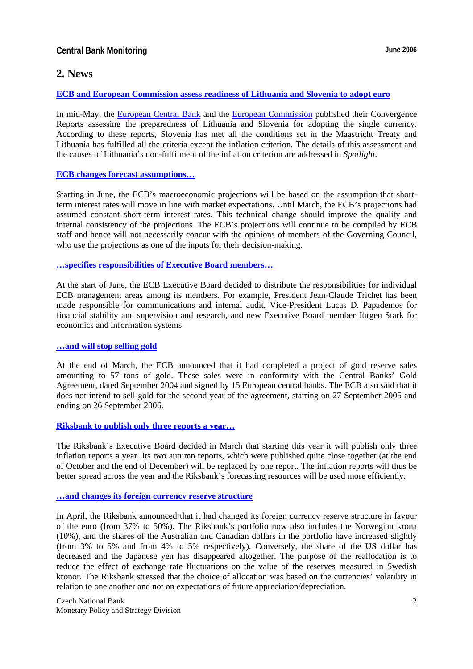## **2. News**

#### **[ECB and European Commission assess readiness of Lithuania and Slovenia to adopt euro](http://www.ecb.int/press/pr/date/2006/html/pr060516.en.html)**

In mid-May, the [European Central Bank](http://www.ecb.int/pub/pdf/conrep/cr2006en.pdf) and the [European Commission](http://ec.europa.eu/economy_finance/publications/convergence/2006/report_lithuania.pdf) published their Convergence Reports assessing the preparedness of Lithuania and Slovenia for adopting the single currency. According to these reports, Slovenia has met all the conditions set in the Maastricht Treaty and Lithuania has fulfilled all the criteria except the inflation criterion. The details of this assessment and the causes of Lithuania's non-fulfilment of the inflation criterion are addressed in *Spotlight*.

#### **[ECB changes forecast assumptions…](http://www.ecb.int/pub/pdf/mobu/mb200603en.pdf)**

Starting in June, the ECB's macroeconomic projections will be based on the assumption that shortterm interest rates will move in line with market expectations. Until March, the ECB's projections had assumed constant short-term interest rates. This technical change should improve the quality and internal consistency of the projections. The ECB's projections will continue to be compiled by ECB staff and hence will not necessarily concur with the opinions of members of the Governing Council, who use the projections as one of the inputs for their decision-making.

#### **[…specifies responsibilities of Executive Board members…](http://www.ecb.int/press/pr/date/2006/html/pr060601.en.html)**

At the start of June, the ECB Executive Board decided to distribute the responsibilities for individual ECB management areas among its members. For example, President Jean-Claude Trichet has been made responsible for communications and internal audit, Vice-President Lucas D. Papademos for financial stability and supervision and research, and new Executive Board member Jürgen Stark for economics and information systems.

#### **[…and will stop selling gold](http://www.ecb.int/press/pr/date/2006/html/pr060331.en.html)**

At the end of March, the ECB announced that it had completed a project of gold reserve sales amounting to 57 tons of gold. These sales were in conformity with the Central Banks' Gold Agreement, dated September 2004 and signed by 15 European central banks. The ECB also said that it does not intend to sell gold for the second year of the agreement, starting on 27 September 2005 and ending on 26 September 2006.

#### **[Riksbank to publish only three reports a year…](http://www.riksbank.com/templates/Page.aspx?id=20842)**

The Riksbank's Executive Board decided in March that starting this year it will publish only three inflation reports a year. Its two autumn reports, which were published quite close together (at the end of October and the end of December) will be replaced by one report. The inflation reports will thus be better spread across the year and the Riksbank's forecasting resources will be used more efficiently.

#### **[…and changes its foreign currency reserve structure](http://www.riksbank.com/templates/Page.aspx?id=21213)**

In April, the Riksbank announced that it had changed its foreign currency reserve structure in favour of the euro (from 37% to 50%). The Riksbank's portfolio now also includes the Norwegian krona (10%), and the shares of the Australian and Canadian dollars in the portfolio have increased slightly (from 3% to 5% and from 4% to 5% respectively). Conversely, the share of the US dollar has decreased and the Japanese yen has disappeared altogether. The purpose of the reallocation is to reduce the effect of exchange rate fluctuations on the value of the reserves measured in Swedish kronor. The Riksbank stressed that the choice of allocation was based on the currencies' volatility in relation to one another and not on expectations of future appreciation/depreciation.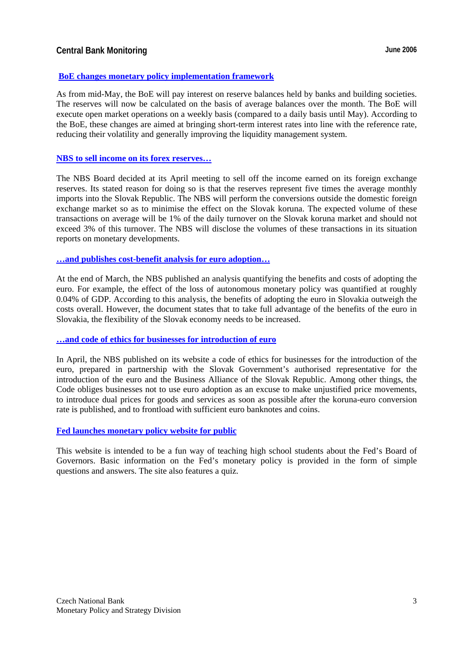## **Central Bank Monitoring Central Bank Monitoring Central Bank Monitoring Central Bank Monitoring Central Bank Monitoring Central Bank Monitoring Central Bank Monitoring Central Bank Monitoring Central Bank Monitoring Centr**

#### **[BoE changes monetary policy implementation framework](http://www.bankofengland.co.uk/publications/news/2006/055.htm)**

As from mid-May, the BoE will pay interest on reserve balances held by banks and building societies. The reserves will now be calculated on the basis of average balances over the month. The BoE will execute open market operations on a weekly basis (compared to a daily basis until May). According to the BoE, these changes are aimed at bringing short-term interest rates into line with the reference rate, reducing their volatility and generally improving the liquidity management system.

#### **[NBS to sell income on its forex reserves…](http://www.nbs.sk/PRESS/BB250406.HTM)**

The NBS Board decided at its April meeting to sell off the income earned on its foreign exchange reserves. Its stated reason for doing so is that the reserves represent five times the average monthly imports into the Slovak Republic. The NBS will perform the conversions outside the domestic foreign exchange market so as to minimise the effect on the Slovak koruna. The expected volume of these transactions on average will be 1% of the daily turnover on the Slovak koruna market and should not exceed 3% of this turnover. The NBS will disclose the volumes of these transactions in its situation reports on monetary developments.

#### **[…and publishes cost-benefit analysis for euro adoption…](http://www.nbs.sk/PUBLIK/06_KOL1.PDF)**

At the end of March, the NBS published an analysis quantifying the benefits and costs of adopting the euro. For example, the effect of the loss of autonomous monetary policy was quantified at roughly 0.04% of GDP. According to this analysis, the benefits of adopting the euro in Slovakia outweigh the costs overall. However, the document states that to take full advantage of the benefits of the euro in Slovakia, the flexibility of the Slovak economy needs to be increased.

#### **[…and code of ethics for businesses for introduction of euro](http://www.nbs.sk/EURINT/EURO/ETICKOD.PDF)**

In April, the NBS published on its website a code of ethics for businesses for the introduction of the euro, prepared in partnership with the Slovak Government's authorised representative for the introduction of the euro and the Business Alliance of the Slovak Republic. Among other things, the Code obliges businesses not to use euro adoption as an excuse to make unjustified price movements, to introduce dual prices for goods and services as soon as possible after the koruna-euro conversion rate is published, and to frontload with sufficient euro banknotes and coins.

#### **[Fed launches monetary policy website for public](http://www.federalreserve.gov/kids/default.htm)**

This website is intended to be a fun way of teaching high school students about the Fed's Board of Governors. Basic information on the Fed's monetary policy is provided in the form of simple questions and answers. The site also features a quiz.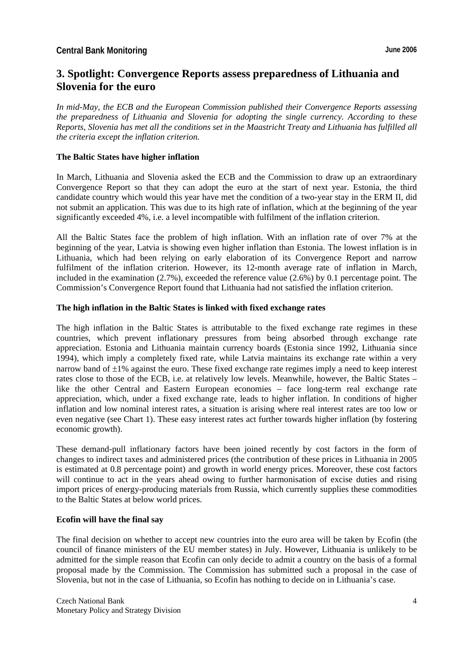# **3. Spotlight: Convergence Reports assess preparedness of Lithuania and Slovenia for the euro**

*In mid-May, the ECB and the European Commission published their Convergence Reports assessing the preparedness of Lithuania and Slovenia for adopting the single currency. According to these Reports, Slovenia has met all the conditions set in the Maastricht Treaty and Lithuania has fulfilled all the criteria except the inflation criterion.* 

#### **The Baltic States have higher inflation**

In March, Lithuania and Slovenia asked the ECB and the Commission to draw up an extraordinary Convergence Report so that they can adopt the euro at the start of next year. Estonia, the third candidate country which would this year have met the condition of a two-year stay in the ERM II, did not submit an application. This was due to its high rate of inflation, which at the beginning of the year significantly exceeded 4%, i.e. a level incompatible with fulfilment of the inflation criterion.

All the Baltic States face the problem of high inflation. With an inflation rate of over 7% at the beginning of the year, Latvia is showing even higher inflation than Estonia. The lowest inflation is in Lithuania, which had been relying on early elaboration of its Convergence Report and narrow fulfilment of the inflation criterion. However, its 12-month average rate of inflation in March, included in the examination  $(2.7\%)$ , exceeded the reference value  $(2.6\%)$  by 0.1 percentage point. The Commission's Convergence Report found that Lithuania had not satisfied the inflation criterion.

#### **The high inflation in the Baltic States is linked with fixed exchange rates**

The high inflation in the Baltic States is attributable to the fixed exchange rate regimes in these countries, which prevent inflationary pressures from being absorbed through exchange rate appreciation. Estonia and Lithuania maintain currency boards (Estonia since 1992, Lithuania since 1994), which imply a completely fixed rate, while Latvia maintains its exchange rate within a very narrow band of  $\pm 1\%$  against the euro. These fixed exchange rate regimes imply a need to keep interest rates close to those of the ECB, i.e. at relatively low levels. Meanwhile, however, the Baltic States – like the other Central and Eastern European economies – face long-term real exchange rate appreciation, which, under a fixed exchange rate, leads to higher inflation. In conditions of higher inflation and low nominal interest rates, a situation is arising where real interest rates are too low or even negative (see Chart 1). These easy interest rates act further towards higher inflation (by fostering economic growth).

These demand-pull inflationary factors have been joined recently by cost factors in the form of changes to indirect taxes and administered prices (the contribution of these prices in Lithuania in 2005 is estimated at 0.8 percentage point) and growth in world energy prices. Moreover, these cost factors will continue to act in the years ahead owing to further harmonisation of excise duties and rising import prices of energy-producing materials from Russia, which currently supplies these commodities to the Baltic States at below world prices.

#### **Ecofin will have the final say**

The final decision on whether to accept new countries into the euro area will be taken by Ecofin (the council of finance ministers of the EU member states) in July. However, Lithuania is unlikely to be admitted for the simple reason that Ecofin can only decide to admit a country on the basis of a formal proposal made by the Commission. The Commission has submitted such a proposal in the case of Slovenia, but not in the case of Lithuania, so Ecofin has nothing to decide on in Lithuania's case.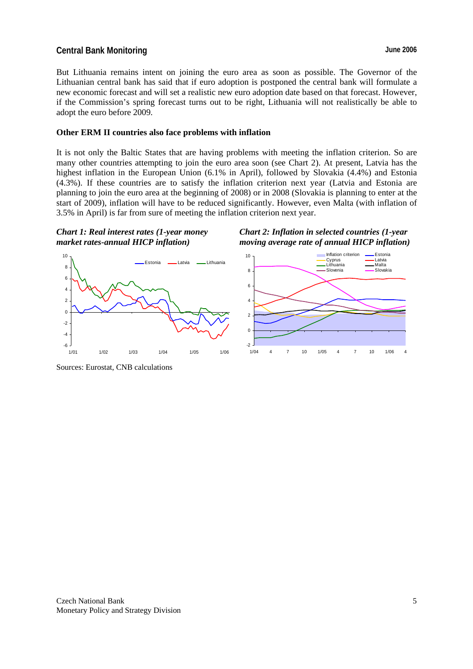## **Central Bank Monitoring Central Bank Monitoring Central Bank Monitoring Central Bank Monitoring Central Bank Monitoring Central Bank Monitoring Central Bank Monitoring Central Bank Monitoring Central Bank Monitoring Centr**

But Lithuania remains intent on joining the euro area as soon as possible. The Governor of the Lithuanian central bank has said that if euro adoption is postponed the central bank will formulate a new economic forecast and will set a realistic new euro adoption date based on that forecast. However, if the Commission's spring forecast turns out to be right, Lithuania will not realistically be able to adopt the euro before 2009.

#### **Other ERM II countries also face problems with inflation**

It is not only the Baltic States that are having problems with meeting the inflation criterion. So are many other countries attempting to join the euro area soon (see Chart 2). At present, Latvia has the highest inflation in the European Union (6.1% in April), followed by Slovakia (4.4%) and Estonia (4.3%). If these countries are to satisfy the inflation criterion next year (Latvia and Estonia are planning to join the euro area at the beginning of 2008) or in 2008 (Slovakia is planning to enter at the start of 2009), inflation will have to be reduced significantly. However, even Malta (with inflation of 3.5% in April) is far from sure of meeting the inflation criterion next year.



*Chart 2: Inflation in selected countries (1-year moving average rate of annual HICP inflation)* 



Sources: Eurostat, CNB calculations